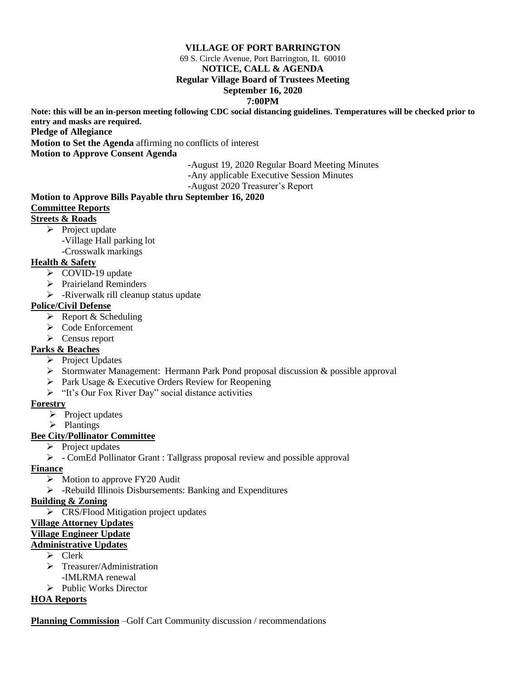## **VILLAGE OF PORT BARRINGTON**

69 S. Circle Avenue, Port Barrington, IL 60010

#### **NOTICE, CALL & AGENDA**

#### **Regular Village Board of Trustees Meeting**

#### **September 16, 2020**

## **7:00PM**

**Note: this will be an in-person meeting following CDC social distancing guidelines. Temperatures will be checked prior to entry and masks are required.**

**Pledge of Allegiance**

**Motion to Set the Agenda** affirming no conflicts of interest

**Motion to Approve Consent Agenda**

**-**August 19, 2020 Regular Board Meeting Minutes

**-**Any applicable Executive Session Minutes

-August 2020 Treasurer's Report

**Motion to Approve Bills Payable thru September 16, 2020 Committee Reports**

# **Streets & Roads**

- $\triangleright$  Project update
	- -Village Hall parking lot
	- -Crosswalk markings

## **Health & Safety**

- ➢ COVID-19 update
- ➢ Prairieland Reminders
- ➢ -Riverwalk rill cleanup status update

## **Police/Civil Defense**

- $\triangleright$  Report & Scheduling
- ➢ Code Enforcement
- ➢ Census report

# **Parks & Beaches**

- ➢ Project Updates
- ➢ Stormwater Management: Hermann Park Pond proposal discussion & possible approval
- ➢ Park Usage & Executive Orders Review for Reopening
- ➢ "It's Our Fox River Day" social distance activities

# **Forestry**

- $\triangleright$  Project updates
- ➢ Plantings

## **Bee City/Pollinator Committee**

- ➢ Project updates
- ➢ ComEd Pollinator Grant : Tallgrass proposal review and possible approval

## **Finance**

- $\triangleright$  Motion to approve FY20 Audit
- ➢ -Rebuild Illinois Disbursements: Banking and Expenditures

# **Building & Zoning**

➢ CRS/Flood Mitigation project updates

## **Village Attorney Updates**

## **Village Engineer Update**

# **Administrative Updates**

- ➢ Clerk
- ➢ Treasurer/Administration
- -IMLRMA renewal
- ➢ Public Works Director

# **HOA Reports**

**Planning Commission** –Golf Cart Community discussion / recommendations